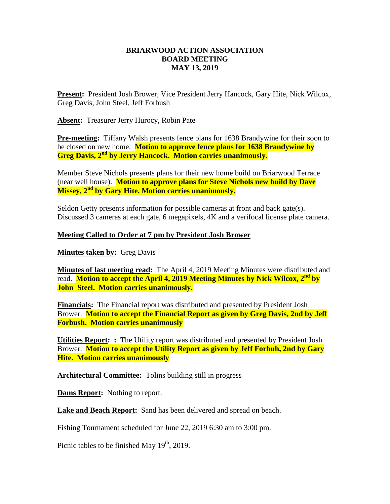## **BRIARWOOD ACTION ASSOCIATION BOARD MEETING MAY 13, 2019**

**Present:** President Josh Brower, Vice President Jerry Hancock, Gary Hite, Nick Wilcox, Greg Davis, John Steel, Jeff Forbush

**Absent:** Treasurer Jerry Hurocy, Robin Pate

**Pre-meeting:** Tiffany Walsh presents fence plans for 1638 Brandywine for their soon to be closed on new home. **Motion to approve fence plans for 1638 Brandywine by Greg Davis, 2nd by Jerry Hancock. Motion carries unanimously.**

Member Steve Nichols presents plans for their new home build on Briarwood Terrace (near well house). **Motion to approve plans for Steve Nichols new build by Dave Missey, 2nd by Gary Hite. Motion carries unanimously.**

Seldon Getty presents information for possible cameras at front and back gate(s). Discussed 3 cameras at each gate, 6 megapixels, 4K and a verifocal license plate camera.

## **Meeting Called to Order at 7 pm by President Josh Brower**

**Minutes taken by:** Greg Davis

**Minutes of last meeting read:** The April 4, 2019 Meeting Minutes were distributed and read. **Motion to accept the April 4, 2019 Meeting Minutes by Nick Wilcox, 2nd by John Steel. Motion carries unanimously.**

**Financials:** The Financial report was distributed and presented by President Josh Brower. **Motion to accept the Financial Report as given by Greg Davis, 2nd by Jeff Forbush. Motion carries unanimously** 

**Utilities Report: :** The Utility report was distributed and presented by President Josh Brower. **Motion to accept the Utility Report as given by Jeff Forbuh, 2nd by Gary Hite. Motion carries unanimously** 

**Architectural Committee:** Tolins building still in progress

**Dams Report:** Nothing to report.

Lake and Beach Report: Sand has been delivered and spread on beach.

Fishing Tournament scheduled for June 22, 2019 6:30 am to 3:00 pm.

Picnic tables to be finished May  $19<sup>th</sup>$ , 2019.